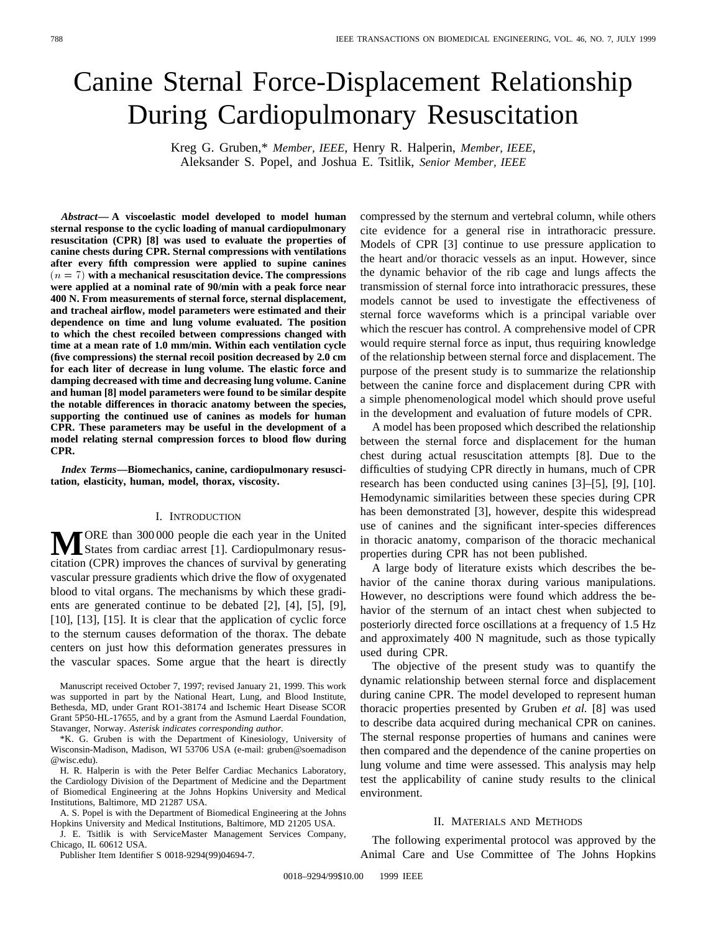# Canine Sternal Force-Displacement Relationship During Cardiopulmonary Resuscitation

Kreg G. Gruben,\* *Member, IEEE*, Henry R. Halperin, *Member, IEEE*, Aleksander S. Popel, and Joshua E. Tsitlik, *Senior Member, IEEE*

*Abstract—* **A viscoelastic model developed to model human sternal response to the cyclic loading of manual cardiopulmonary resuscitation (CPR) [8] was used to evaluate the properties of canine chests during CPR. Sternal compressions with ventilations after every fifth compression were applied to supine canines** (n = 7) **with a mechanical resuscitation device. The compressions were applied at a nominal rate of 90/min with a peak force near 400 N. From measurements of sternal force, sternal displacement, and tracheal airflow, model parameters were estimated and their dependence on time and lung volume evaluated. The position to which the chest recoiled between compressions changed with time at a mean rate of 1.0 mm/min. Within each ventilation cycle (five compressions) the sternal recoil position decreased by 2.0 cm for each liter of decrease in lung volume. The elastic force and damping decreased with time and decreasing lung volume. Canine and human [8] model parameters were found to be similar despite the notable differences in thoracic anatomy between the species, supporting the continued use of canines as models for human CPR. These parameters may be useful in the development of a model relating sternal compression forces to blood flow during CPR.**

*Index Terms—***Biomechanics, canine, cardiopulmonary resuscitation, elasticity, human, model, thorax, viscosity.**

## I. INTRODUCTION

**M**ORE than 300 000 people die each year in the United<br>States from cardiac arrest [1]. Cardiopulmonary resus-<br>eitation (CDD) improves the abonese of sumival by concepting citation (CPR) improves the chances of survival by generating vascular pressure gradients which drive the flow of oxygenated blood to vital organs. The mechanisms by which these gradients are generated continue to be debated [2], [4], [5], [9], [10], [13], [15]. It is clear that the application of cyclic force to the sternum causes deformation of the thorax. The debate centers on just how this deformation generates pressures in the vascular spaces. Some argue that the heart is directly

Manuscript received October 7, 1997; revised January 21, 1999. This work was supported in part by the National Heart, Lung, and Blood Institute, Bethesda, MD, under Grant RO1-38174 and Ischemic Heart Disease SCOR Grant 5P50-HL-17655, and by a grant from the Asmund Laerdal Foundation, Stavanger, Norway. *Asterisk indicates corresponding author.*

\*K. G. Gruben is with the Department of Kinesiology, University of Wisconsin-Madison, Madison, WI 53706 USA (e-mail: gruben@soemadison @wisc.edu).

H. R. Halperin is with the Peter Belfer Cardiac Mechanics Laboratory, the Cardiology Division of the Department of Medicine and the Department of Biomedical Engineering at the Johns Hopkins University and Medical Institutions, Baltimore, MD 21287 USA.

A. S. Popel is with the Department of Biomedical Engineering at the Johns Hopkins University and Medical Institutions, Baltimore, MD 21205 USA.

J. E. Tsitlik is with ServiceMaster Management Services Company, Chicago, IL 60612 USA.

Publisher Item Identifier S 0018-9294(99)04694-7.

compressed by the sternum and vertebral column, while others cite evidence for a general rise in intrathoracic pressure. Models of CPR [3] continue to use pressure application to the heart and/or thoracic vessels as an input. However, since the dynamic behavior of the rib cage and lungs affects the transmission of sternal force into intrathoracic pressures, these models cannot be used to investigate the effectiveness of sternal force waveforms which is a principal variable over which the rescuer has control. A comprehensive model of CPR would require sternal force as input, thus requiring knowledge of the relationship between sternal force and displacement. The purpose of the present study is to summarize the relationship between the canine force and displacement during CPR with a simple phenomenological model which should prove useful in the development and evaluation of future models of CPR.

A model has been proposed which described the relationship between the sternal force and displacement for the human chest during actual resuscitation attempts [8]. Due to the difficulties of studying CPR directly in humans, much of CPR research has been conducted using canines [3]–[5], [9], [10]. Hemodynamic similarities between these species during CPR has been demonstrated [3], however, despite this widespread use of canines and the significant inter-species differences in thoracic anatomy, comparison of the thoracic mechanical properties during CPR has not been published.

A large body of literature exists which describes the behavior of the canine thorax during various manipulations. However, no descriptions were found which address the behavior of the sternum of an intact chest when subjected to posteriorly directed force oscillations at a frequency of 1.5 Hz and approximately 400 N magnitude, such as those typically used during CPR.

The objective of the present study was to quantify the dynamic relationship between sternal force and displacement during canine CPR. The model developed to represent human thoracic properties presented by Gruben *et al.* [8] was used to describe data acquired during mechanical CPR on canines. The sternal response properties of humans and canines were then compared and the dependence of the canine properties on lung volume and time were assessed. This analysis may help test the applicability of canine study results to the clinical environment.

# II. MATERIALS AND METHODS

The following experimental protocol was approved by the Animal Care and Use Committee of The Johns Hopkins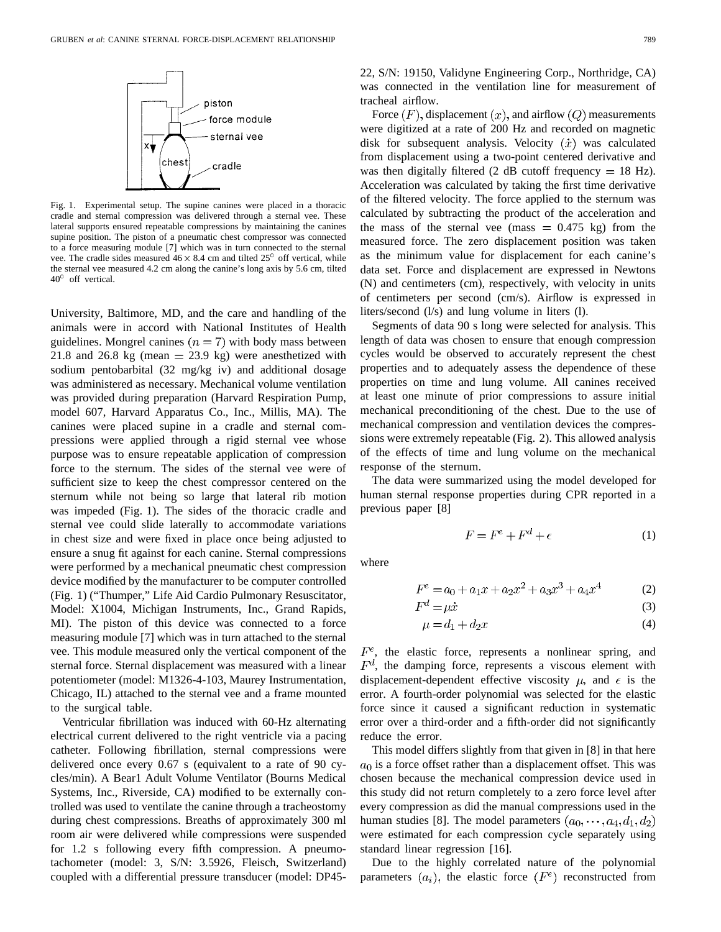

Fig. 1. Experimental setup. The supine canines were placed in a thoracic cradle and sternal compression was delivered through a sternal vee. These lateral supports ensured repeatable compressions by maintaining the canines supine position. The piston of a pneumatic chest compressor was connected to a force measuring module [7] which was in turn connected to the sternal vee. The cradle sides measured  $46 \times 8.4$  cm and tilted  $25^{\circ}$  off vertical, while the sternal vee measured 4.2 cm along the canine's long axis by 5.6 cm, tilted  $40^{\circ}$  off vertical.

University, Baltimore, MD, and the care and handling of the animals were in accord with National Institutes of Health guidelines. Mongrel canines  $(n = 7)$  with body mass between 21.8 and 26.8 kg (mean  $=$  23.9 kg) were anesthetized with sodium pentobarbital (32 mg/kg iv) and additional dosage was administered as necessary. Mechanical volume ventilation was provided during preparation (Harvard Respiration Pump, model 607, Harvard Apparatus Co., Inc., Millis, MA). The canines were placed supine in a cradle and sternal compressions were applied through a rigid sternal vee whose purpose was to ensure repeatable application of compression force to the sternum. The sides of the sternal vee were of sufficient size to keep the chest compressor centered on the sternum while not being so large that lateral rib motion was impeded (Fig. 1). The sides of the thoracic cradle and sternal vee could slide laterally to accommodate variations in chest size and were fixed in place once being adjusted to ensure a snug fit against for each canine. Sternal compressions were performed by a mechanical pneumatic chest compression device modified by the manufacturer to be computer controlled (Fig. 1) ("Thumper," Life Aid Cardio Pulmonary Resuscitator, Model: X1004, Michigan Instruments, Inc., Grand Rapids, MI). The piston of this device was connected to a force measuring module [7] which was in turn attached to the sternal vee. This module measured only the vertical component of the sternal force. Sternal displacement was measured with a linear potentiometer (model: M1326-4-103, Maurey Instrumentation, Chicago, IL) attached to the sternal vee and a frame mounted to the surgical table.

Ventricular fibrillation was induced with 60-Hz alternating electrical current delivered to the right ventricle via a pacing catheter. Following fibrillation, sternal compressions were delivered once every 0.67 s (equivalent to a rate of 90 cycles/min). A Bear1 Adult Volume Ventilator (Bourns Medical Systems, Inc., Riverside, CA) modified to be externally controlled was used to ventilate the canine through a tracheostomy during chest compressions. Breaths of approximately 300 ml room air were delivered while compressions were suspended for 1.2 s following every fifth compression. A pneumotachometer (model: 3, S/N: 3.5926, Fleisch, Switzerland) coupled with a differential pressure transducer (model: DP45-

Force  $(F)$ , displacement  $(x)$ , and airflow  $(Q)$  measurements were digitized at a rate of 200 Hz and recorded on magnetic disk for subsequent analysis. Velocity  $(\dot{x})$  was calculated from displacement using a two-point centered derivative and was then digitally filtered (2 dB cutoff frequency  $= 18$  Hz). Acceleration was calculated by taking the first time derivative of the filtered velocity. The force applied to the sternum was calculated by subtracting the product of the acceleration and the mass of the sternal vee (mass  $= 0.475$  kg) from the measured force. The zero displacement position was taken as the minimum value for displacement for each canine's data set. Force and displacement are expressed in Newtons (N) and centimeters (cm), respectively, with velocity in units of centimeters per second (cm/s). Airflow is expressed in liters/second (l/s) and lung volume in liters (l).

Segments of data 90 s long were selected for analysis. This length of data was chosen to ensure that enough compression cycles would be observed to accurately represent the chest properties and to adequately assess the dependence of these properties on time and lung volume. All canines received at least one minute of prior compressions to assure initial mechanical preconditioning of the chest. Due to the use of mechanical compression and ventilation devices the compressions were extremely repeatable (Fig. 2). This allowed analysis of the effects of time and lung volume on the mechanical response of the sternum.

The data were summarized using the model developed for human sternal response properties during CPR reported in a previous paper [8]

$$
F = F^e + F^d + \epsilon \tag{1}
$$

where

$$
F^e = a_0 + a_1 x + a_2 x^2 + a_3 x^3 + a_4 x^4 \tag{2}
$$

$$
F^d = \mu \dot{x} \tag{3}
$$

$$
\mu = d_1 + d_2 x \tag{4}
$$

 $F<sup>e</sup>$ , the elastic force, represents a nonlinear spring, and  $F<sup>d</sup>$ , the damping force, represents a viscous element with displacement-dependent effective viscosity  $\mu$ , and  $\epsilon$  is the error. A fourth-order polynomial was selected for the elastic force since it caused a significant reduction in systematic error over a third-order and a fifth-order did not significantly reduce the error.

This model differs slightly from that given in [8] in that here  $a<sub>0</sub>$  is a force offset rather than a displacement offset. This was chosen because the mechanical compression device used in this study did not return completely to a zero force level after every compression as did the manual compressions used in the human studies [8]. The model parameters  $(a_0, \dots, a_4, d_1, d_2)$ were estimated for each compression cycle separately using standard linear regression [16].

Due to the highly correlated nature of the polynomial parameters  $(a_i)$ , the elastic force  $(F^e)$  reconstructed from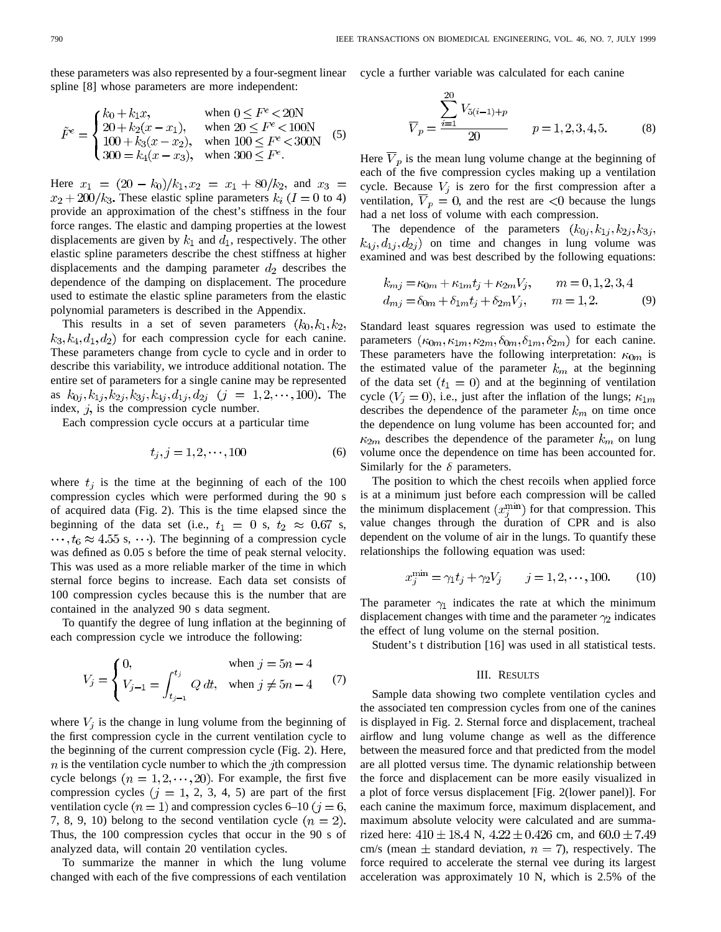these parameters was also represented by a four-segment linear spline [8] whose parameters are more independent:

$$
\tilde{F}^e = \begin{cases} k_0 + k_1 x, & \text{when } 0 \le F^e < 20N \\ 20 + k_2 (x - x_1), & \text{when } 20 \le F^e < 100N \\ 100 + k_3 (x - x_2), & \text{when } 100 \le F^e < 300N \\ 300 = k_4 (x - x_3), & \text{when } 300 \le F^e. \end{cases}
$$
(5)

Here  $x_1 = (20 - k_0)/k_1, x_2 = x_1 + 80/k_2$ , and  $x_3 =$  $x_2 + 200/k_3$ . These elastic spline parameters  $k_i$  ( $I = 0$  to 4) provide an approximation of the chest's stiffness in the four force ranges. The elastic and damping properties at the lowest displacements are given by  $k_1$  and  $d_1$ , respectively. The other elastic spline parameters describe the chest stiffness at higher displacements and the damping parameter  $d_2$  describes the dependence of the damping on displacement. The procedure used to estimate the elastic spline parameters from the elastic polynomial parameters is described in the Appendix.

This results in a set of seven parameters  $(k_0, k_1, k_2,$  $k_3, k_4, d_1, d_2$  for each compression cycle for each canine. These parameters change from cycle to cycle and in order to describe this variability, we introduce additional notation. The entire set of parameters for a single canine may be represented as  $k_{0j}, k_{1j}, k_{2j}, k_{3j}, k_{4j}, d_{1j}, d_{2j}$   $(j = 1, 2, \dots, 100)$ . The index,  $j$ , is the compression cycle number.

Each compression cycle occurs at a particular time

$$
t_i, j = 1, 2, \cdots, 100
$$
 (6)

where  $t_j$  is the time at the beginning of each of the 100 compression cycles which were performed during the 90 s of acquired data (Fig. 2). This is the time elapsed since the beginning of the data set (i.e.,  $t_1 = 0$  s,  $t_2 \approx 0.67$  s,  $\cdots, t_6 \approx 4.55$  s,  $\cdots$ ). The beginning of a compression cycle was defined as 0.05 s before the time of peak sternal velocity. This was used as a more reliable marker of the time in which sternal force begins to increase. Each data set consists of 100 compression cycles because this is the number that are contained in the analyzed 90 s data segment.

To quantify the degree of lung inflation at the beginning of each compression cycle we introduce the following:

$$
V_j = \begin{cases} 0, & \text{when } j = 5n - 4 \\ V_{j-1} = \int_{t_{j-1}}^{t_j} Q \, dt, & \text{when } j \neq 5n - 4 \end{cases} \tag{7}
$$

where  $V_i$  is the change in lung volume from the beginning of the first compression cycle in the current ventilation cycle to the beginning of the current compression cycle (Fig. 2). Here,  $n$  is the ventilation cycle number to which the *j*th compression cycle belongs  $(n = 1, 2, \dots, 20)$ . For example, the first five compression cycles  $(j = 1, 2, 3, 4, 5)$  are part of the first ventilation cycle  $(n = 1)$  and compression cycles 6–10  $(j = 6,$ 7, 8, 9, 10) belong to the second ventilation cycle  $(n = 2)$ . Thus, the 100 compression cycles that occur in the 90 s of analyzed data, will contain 20 ventilation cycles.

To summarize the manner in which the lung volume changed with each of the five compressions of each ventilation cycle a further variable was calculated for each canine

$$
\overline{V}_p = \frac{\sum_{i=1}^{20} V_{5(i-1)+p}}{20} \qquad p = 1, 2, 3, 4, 5. \tag{8}
$$

Here  $\overline{V}_p$  is the mean lung volume change at the beginning of each of the five compression cycles making up a ventilation cycle. Because  $V_j$  is zero for the first compression after a ventilation,  $V_p = 0$ , and the rest are  $\langle 0 \rangle$  because the lungs had a net loss of volume with each compression.

The dependence of the parameters  $(k_{0j}, k_{1j}, k_{2j}, k_{3j},$  $(k_{4j}, d_{1j}, d_{2j})$  on time and changes in lung volume was examined and was best described by the following equations:

$$
k_{mj} = \kappa_{0m} + \kappa_{1m} t_j + \kappa_{2m} V_j, \qquad m = 0, 1, 2, 3, 4
$$
  

$$
d_{mj} = \delta_{0m} + \delta_{1m} t_j + \delta_{2m} V_j, \qquad m = 1, 2.
$$
 (9)

Standard least squares regression was used to estimate the parameters  $(\kappa_{0m}, \kappa_{1m}, \kappa_{2m}, \delta_{0m}, \delta_{1m}, \delta_{2m})$  for each canine. These parameters have the following interpretation:  $\kappa_{0m}$  is the estimated value of the parameter  $k<sub>m</sub>$  at the beginning of the data set  $(t_1 = 0)$  and at the beginning of ventilation cycle  $(V_i = 0)$ , i.e., just after the inflation of the lungs;  $\kappa_{1m}$ describes the dependence of the parameter  $k_m$  on time once the dependence on lung volume has been accounted for; and  $\kappa_{2m}$  describes the dependence of the parameter  $k_m$  on lung volume once the dependence on time has been accounted for. Similarly for the  $\delta$  parameters.

The position to which the chest recoils when applied force is at a minimum just before each compression will be called the minimum displacement  $(x_i^{\min})$  for that compression. This value changes through the duration of CPR and is also dependent on the volume of air in the lungs. To quantify these relationships the following equation was used:

$$
x_j^{\min} = \gamma_1 t_j + \gamma_2 V_j \qquad j = 1, 2, \cdots, 100. \tag{10}
$$

The parameter  $\gamma_1$  indicates the rate at which the minimum displacement changes with time and the parameter  $\gamma_2$  indicates the effect of lung volume on the sternal position.

Student's t distribution [16] was used in all statistical tests.

## III. RESULTS

Sample data showing two complete ventilation cycles and the associated ten compression cycles from one of the canines is displayed in Fig. 2. Sternal force and displacement, tracheal airflow and lung volume change as well as the difference between the measured force and that predicted from the model are all plotted versus time. The dynamic relationship between the force and displacement can be more easily visualized in a plot of force versus displacement [Fig. 2(lower panel)]. For each canine the maximum force, maximum displacement, and maximum absolute velocity were calculated and are summarized here:  $410 \pm 18.4$  N,  $4.22 \pm 0.426$  cm, and  $60.0 \pm 7.49$ cm/s (mean  $\pm$  standard deviation,  $n = 7$ ), respectively. The force required to accelerate the sternal vee during its largest acceleration was approximately 10 N, which is 2.5% of the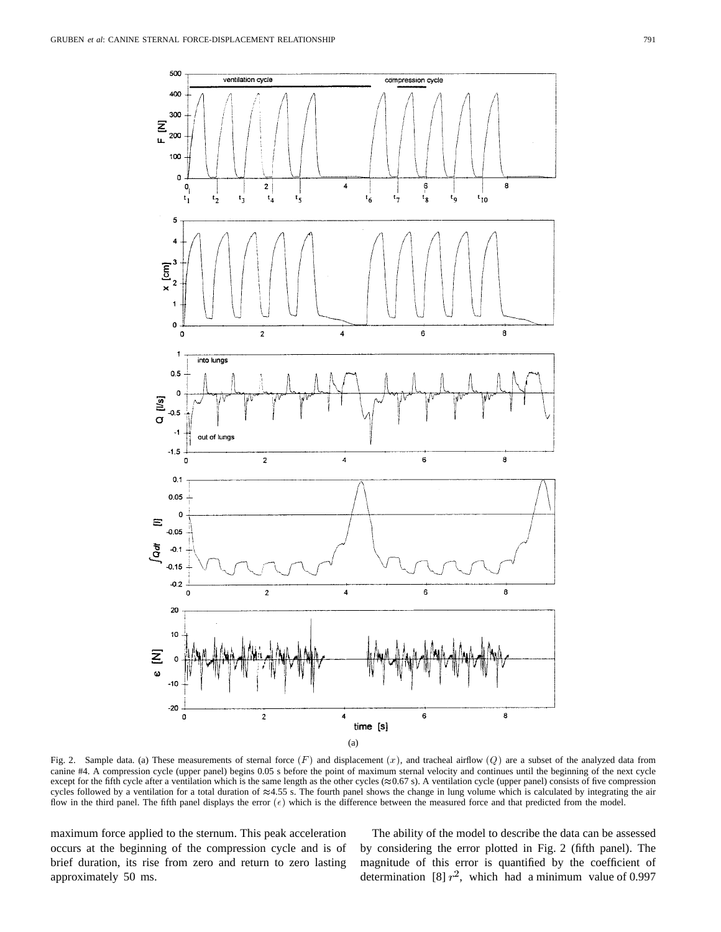

Fig. 2. Sample data. (a) These measurements of sternal force  $(F)$  and displacement  $(x)$ , and tracheal airflow  $(Q)$  are a subset of the analyzed data from canine #4. A compression cycle (upper panel) begins 0.05 s before the point of maximum sternal velocity and continues until the beginning of the next cycle except for the fifth cycle after a ventilation which is the same length as the other cycles ( $\approx 0.67$  s). A ventilation cycle (upper panel) consists of five compression cycles followed by a ventilation for a total duration of  $\approx 4.55$  s. The fourth panel shows the change in lung volume which is calculated by integrating the air flow in the third panel. The fifth panel displays the error  $(\epsilon)$  which is the difference between the measured force and that predicted from the model.

maximum force applied to the sternum. This peak acceleration occurs at the beginning of the compression cycle and is of brief duration, its rise from zero and return to zero lasting approximately 50 ms.

The ability of the model to describe the data can be assessed by considering the error plotted in Fig. 2 (fifth panel). The magnitude of this error is quantified by the coefficient of determination [8]  $r^2$ , which had a minimum value of 0.997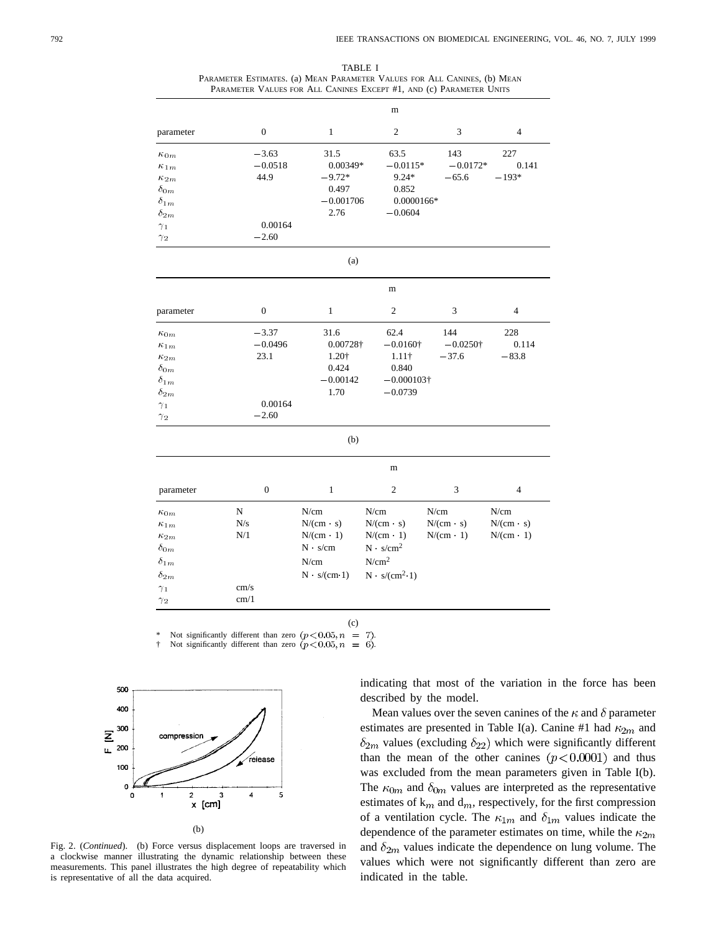| TABLE I                                                                  |  |  |  |  |  |  |
|--------------------------------------------------------------------------|--|--|--|--|--|--|
| PARAMETER ESTIMATES. (a) MEAN PARAMETER VALUES FOR ALL CANINES, (b) MEAN |  |  |  |  |  |  |
| PARAMETER VALUES FOR ALL CANINES EXCEPT #1, AND (c) PARAMETER UNITS      |  |  |  |  |  |  |

|                                                                                                                                |                                                    |                                                                                          | m                                                                                                             |                                              |                                              |
|--------------------------------------------------------------------------------------------------------------------------------|----------------------------------------------------|------------------------------------------------------------------------------------------|---------------------------------------------------------------------------------------------------------------|----------------------------------------------|----------------------------------------------|
| parameter                                                                                                                      | $\mathbf{0}$                                       | $\mathbf{1}$                                                                             | $\overline{c}$                                                                                                | 3                                            | $\overline{4}$                               |
| $\kappa_{0m}$<br>$\kappa_{1m}$<br>$\kappa_{2m}$<br>$\delta_{0m}$<br>$\delta_{1m}$                                              | $-3.63$<br>$-0.0518$<br>44.9                       | 31.5<br>0.00349*<br>$-9.72*$<br>0.497<br>$-0.001706$                                     | 63.5<br>$-0.0115*$<br>$9.24*$<br>0.852<br>$0.0000166*$                                                        | 143<br>$-0.0172*$<br>$-65.6$                 | 227<br>0.141<br>$-193*$                      |
| $\delta_{2m}$<br>$\gamma_1$<br>$\gamma_2$                                                                                      | 0.00164<br>$-2.60$                                 | 2.76                                                                                     | $-0.0604$                                                                                                     |                                              |                                              |
|                                                                                                                                |                                                    | (a)                                                                                      |                                                                                                               |                                              |                                              |
|                                                                                                                                | m                                                  |                                                                                          |                                                                                                               |                                              |                                              |
| parameter                                                                                                                      | $\mathbf{0}$                                       | 1                                                                                        | $\overline{c}$                                                                                                | 3                                            | 4                                            |
| $\kappa_{0m}$<br>$\kappa_{1m}$<br>$\kappa_{2m}$<br>$\delta_{0m}$<br>$\delta_{1m}$<br>$\delta_{2m}$<br>$\gamma_1$<br>$\gamma_2$ | $-3.37$<br>$-0.0496$<br>23.1<br>0.00164<br>$-2.60$ | 31.6<br>0.00728†<br>1.20†<br>0.424<br>$-0.00142$<br>1.70                                 | 62.4<br>$-0.0160\dagger$<br>$1.11\dagger$<br>0.840<br>$-0.000103\dagger$<br>$-0.0739$                         | 144<br>$-0.0250\dagger$<br>$-37.6$           | 228<br>0.114<br>$-83.8$                      |
|                                                                                                                                |                                                    | (b)                                                                                      |                                                                                                               |                                              |                                              |
|                                                                                                                                | m                                                  |                                                                                          |                                                                                                               |                                              |                                              |
| parameter                                                                                                                      | $\boldsymbol{0}$                                   | $\mathbf{1}$                                                                             | $\overline{2}$                                                                                                | 3                                            | $\overline{4}$                               |
| $\kappa_{0m}$<br>$\kappa_{1m}$<br>$\kappa_{2m}$<br>$\delta_{0m}$<br>$\delta_{1m}$<br>$\delta_{2m}$<br>$\gamma_1$<br>$\gamma_2$ | ${\bf N}$<br>N/s<br>N/1<br>cm/s<br>cm/1            | N/cm<br>$N/(cm \cdot s)$<br>$N/(cm \cdot 1)$<br>$N \cdot s/cm$<br>N/cm<br>$N$ $s/(cm 1)$ | N/cm<br>$N/(cm \cdot s)$<br>$N/(cm \cdot 1)$<br>$N \cdot s/cm^2$<br>N/cm <sup>2</sup><br>$N \cdot s/(cm^2.1)$ | N/cm<br>$N/(cm \cdot s)$<br>$N/(cm \cdot 1)$ | N/cm<br>$N/(cm \cdot s)$<br>$N/(cm \cdot 1)$ |

(c)

\* Not significantly different than zero  $(p < 0.05, n = 7)$ .<br>
† Not significantly different than zero  $(p < 0.05, n = 6)$ .



Fig. 2. (*Continued*). (b) Force versus displacement loops are traversed in a clockwise manner illustrating the dynamic relationship between these measurements. This panel illustrates the high degree of repeatability which is representative of all the data acquired.

indicating that most of the variation in the force has been described by the model.

Mean values over the seven canines of the  $\kappa$  and  $\delta$  parameter estimates are presented in Table I(a). Canine #1 had  $\kappa_{2m}$  and  $\delta_{2m}$  values (excluding  $\delta_{22}$ ) which were significantly different than the mean of the other canines  $(p<0.0001)$  and thus was excluded from the mean parameters given in Table I(b). The  $\kappa_{0m}$  and  $\delta_{0m}$  values are interpreted as the representative estimates of  $k_m$  and  $d_m$ , respectively, for the first compression of a ventilation cycle. The  $\kappa_{1m}$  and  $\delta_{1m}$  values indicate the dependence of the parameter estimates on time, while the  $\kappa_{2m}$ and  $\delta_{2m}$  values indicate the dependence on lung volume. The values which were not significantly different than zero are indicated in the table.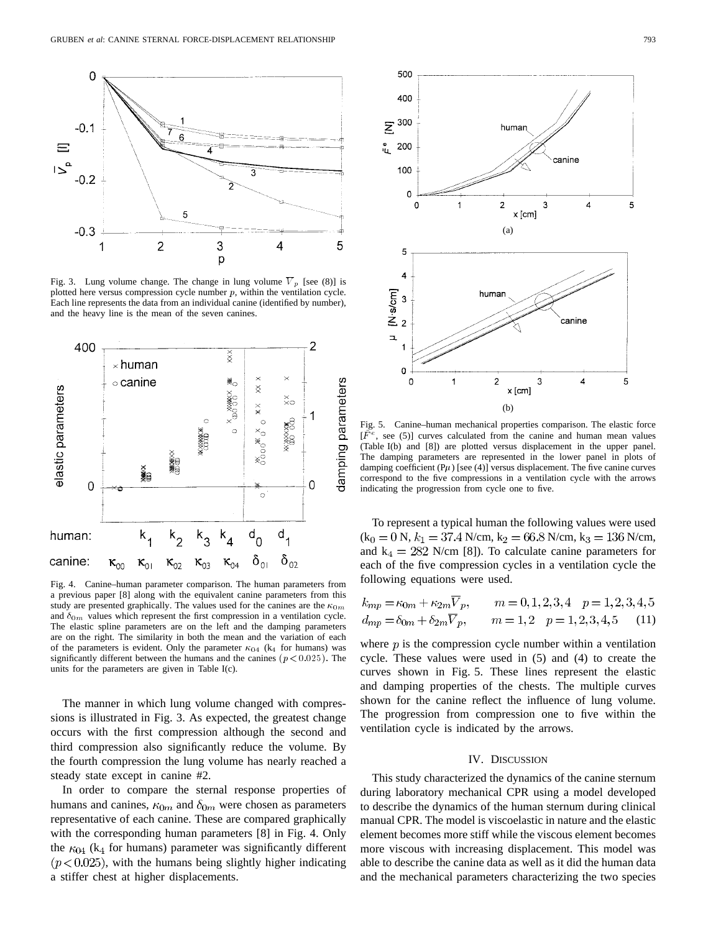

Fig. 3. Lung volume change. The change in lung volume  $\overline{V}_p$  [see (8)] is plotted here versus compression cycle number  $p$ , within the ventilation cycle. Each line represents the data from an individual canine (identified by number), and the heavy line is the mean of the seven canines.



Fig. 4. Canine–human parameter comparison. The human parameters from a previous paper [8] along with the equivalent canine parameters from this study are presented graphically. The values used for the canines are the  $\kappa_{0m}$ and  $\delta_{0m}$  values which represent the first compression in a ventilation cycle. The elastic spline parameters are on the left and the damping parameters are on the right. The similarity in both the mean and the variation of each of the parameters is evident. Only the parameter  $\kappa_{04}$  (k<sub>4</sub> for humans) was significantly different between the humans and the canines ( $p < 0.025$ ). The units for the parameters are given in Table I(c).

The manner in which lung volume changed with compressions is illustrated in Fig. 3. As expected, the greatest change occurs with the first compression although the second and third compression also significantly reduce the volume. By the fourth compression the lung volume has nearly reached a steady state except in canine #2.

In order to compare the sternal response properties of humans and canines,  $\kappa_{0m}$  and  $\delta_{0m}$  were chosen as parameters representative of each canine. These are compared graphically with the corresponding human parameters [8] in Fig. 4. Only the  $\kappa_{04}$  (k<sub>4</sub> for humans) parameter was significantly different  $(p<0.025)$ , with the humans being slightly higher indicating a stiffer chest at higher displacements.



Fig. 5. Canine–human mechanical properties comparison. The elastic force  $[\bar{F}^e$ , see (5)] curves calculated from the canine and human mean values (Table I(b) and [8]) are plotted versus displacement in the upper panel. The damping parameters are represented in the lower panel in plots of damping coefficient ( $P\mu$ ) [see (4)] versus displacement. The five canine curves correspond to the five compressions in a ventilation cycle with the arrows indicating the progression from cycle one to five.

To represent a typical human the following values were used  $(k_0 = 0 N, k_1 = 37.4 N/cm, k_2 = 66.8 N/cm, k_3 = 136 N/cm,$ and  $k_4 = 282$  N/cm [8]). To calculate canine parameters for each of the five compression cycles in a ventilation cycle the following equations were used.

$$
k_{mp} = \kappa_{0m} + \kappa_{2m} \overline{V}_p, \qquad m = 0, 1, 2, 3, 4 \quad p = 1, 2, 3, 4, 5
$$
  

$$
d_{mp} = \delta_{0m} + \delta_{2m} \overline{V}_p, \qquad m = 1, 2 \quad p = 1, 2, 3, 4, 5 \tag{11}
$$

where  $p$  is the compression cycle number within a ventilation cycle. These values were used in (5) and (4) to create the curves shown in Fig. 5. These lines represent the elastic and damping properties of the chests. The multiple curves shown for the canine reflect the influence of lung volume. The progression from compression one to five within the ventilation cycle is indicated by the arrows.

# IV. DISCUSSION

This study characterized the dynamics of the canine sternum during laboratory mechanical CPR using a model developed to describe the dynamics of the human sternum during clinical manual CPR. The model is viscoelastic in nature and the elastic element becomes more stiff while the viscous element becomes more viscous with increasing displacement. This model was able to describe the canine data as well as it did the human data and the mechanical parameters characterizing the two species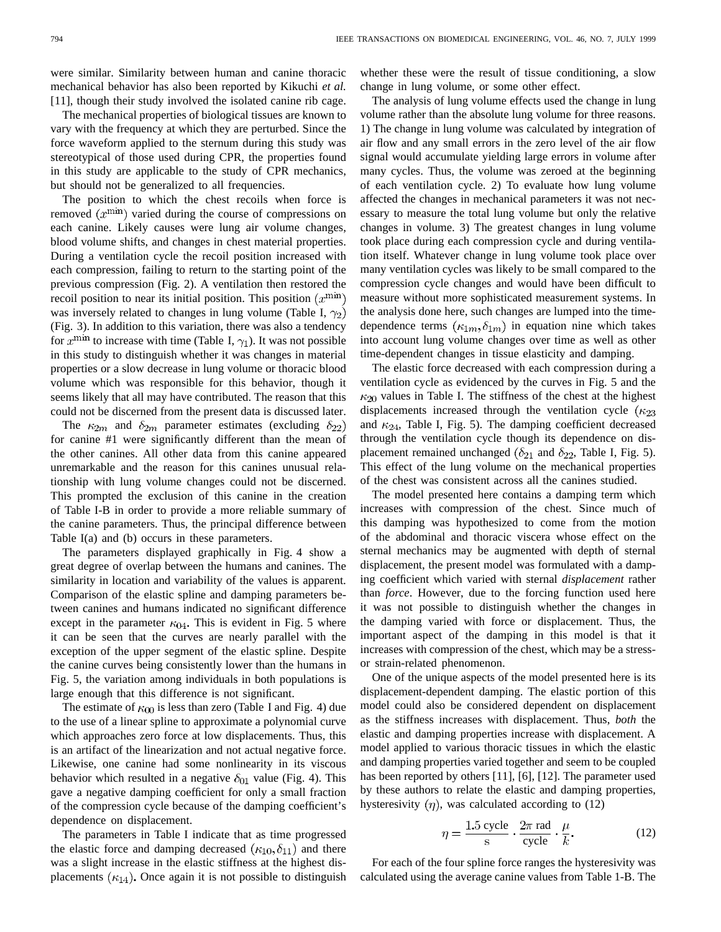were similar. Similarity between human and canine thoracic mechanical behavior has also been reported by Kikuchi *et al.* [11], though their study involved the isolated canine rib cage.

The mechanical properties of biological tissues are known to vary with the frequency at which they are perturbed. Since the force waveform applied to the sternum during this study was stereotypical of those used during CPR, the properties found in this study are applicable to the study of CPR mechanics, but should not be generalized to all frequencies.

The position to which the chest recoils when force is removed  $(x^{\min})$  varied during the course of compressions on each canine. Likely causes were lung air volume changes, blood volume shifts, and changes in chest material properties. During a ventilation cycle the recoil position increased with each compression, failing to return to the starting point of the previous compression (Fig. 2). A ventilation then restored the recoil position to near its initial position. This position  $(x^{\min})$ was inversely related to changes in lung volume (Table I,  $\gamma_2$ ) (Fig. 3). In addition to this variation, there was also a tendency for  $x^{\text{min}}$  to increase with time (Table I,  $\gamma_1$ ). It was not possible in this study to distinguish whether it was changes in material properties or a slow decrease in lung volume or thoracic blood volume which was responsible for this behavior, though it seems likely that all may have contributed. The reason that this could not be discerned from the present data is discussed later.

The  $\kappa_{2m}$  and  $\delta_{2m}$  parameter estimates (excluding  $\delta_{22}$ ) for canine #1 were significantly different than the mean of the other canines. All other data from this canine appeared unremarkable and the reason for this canines unusual relationship with lung volume changes could not be discerned. This prompted the exclusion of this canine in the creation of Table I-B in order to provide a more reliable summary of the canine parameters. Thus, the principal difference between Table I(a) and (b) occurs in these parameters.

The parameters displayed graphically in Fig. 4 show a great degree of overlap between the humans and canines. The similarity in location and variability of the values is apparent. Comparison of the elastic spline and damping parameters between canines and humans indicated no significant difference except in the parameter  $\kappa_{04}$ . This is evident in Fig. 5 where it can be seen that the curves are nearly parallel with the exception of the upper segment of the elastic spline. Despite the canine curves being consistently lower than the humans in Fig. 5, the variation among individuals in both populations is large enough that this difference is not significant.

The estimate of  $\kappa_{00}$  is less than zero (Table I and Fig. 4) due to the use of a linear spline to approximate a polynomial curve which approaches zero force at low displacements. Thus, this is an artifact of the linearization and not actual negative force. Likewise, one canine had some nonlinearity in its viscous behavior which resulted in a negative  $\delta_{01}$  value (Fig. 4). This gave a negative damping coefficient for only a small fraction of the compression cycle because of the damping coefficient's dependence on displacement.

The parameters in Table I indicate that as time progressed the elastic force and damping decreased  $(\kappa_{10}, \delta_{11})$  and there was a slight increase in the elastic stiffness at the highest displacements  $(\kappa_{14})$ . Once again it is not possible to distinguish whether these were the result of tissue conditioning, a slow change in lung volume, or some other effect.

The analysis of lung volume effects used the change in lung volume rather than the absolute lung volume for three reasons. 1) The change in lung volume was calculated by integration of air flow and any small errors in the zero level of the air flow signal would accumulate yielding large errors in volume after many cycles. Thus, the volume was zeroed at the beginning of each ventilation cycle. 2) To evaluate how lung volume affected the changes in mechanical parameters it was not necessary to measure the total lung volume but only the relative changes in volume. 3) The greatest changes in lung volume took place during each compression cycle and during ventilation itself. Whatever change in lung volume took place over many ventilation cycles was likely to be small compared to the compression cycle changes and would have been difficult to measure without more sophisticated measurement systems. In the analysis done here, such changes are lumped into the timedependence terms  $(\kappa_{1m}, \delta_{1m})$  in equation nine which takes into account lung volume changes over time as well as other time-dependent changes in tissue elasticity and damping.

The elastic force decreased with each compression during a ventilation cycle as evidenced by the curves in Fig. 5 and the  $\kappa_{20}$  values in Table I. The stiffness of the chest at the highest displacements increased through the ventilation cycle ( $\kappa_{23}$ ) and  $\kappa_{24}$ , Table I, Fig. 5). The damping coefficient decreased through the ventilation cycle though its dependence on displacement remained unchanged ( $\delta_{21}$  and  $\delta_{22}$ , Table I, Fig. 5). This effect of the lung volume on the mechanical properties of the chest was consistent across all the canines studied.

The model presented here contains a damping term which increases with compression of the chest. Since much of this damping was hypothesized to come from the motion of the abdominal and thoracic viscera whose effect on the sternal mechanics may be augmented with depth of sternal displacement, the present model was formulated with a damping coefficient which varied with sternal *displacement* rather than *force*. However, due to the forcing function used here it was not possible to distinguish whether the changes in the damping varied with force or displacement. Thus, the important aspect of the damping in this model is that it increases with compression of the chest, which may be a stressor strain-related phenomenon.

One of the unique aspects of the model presented here is its displacement-dependent damping. The elastic portion of this model could also be considered dependent on displacement as the stiffness increases with displacement. Thus, *both* the elastic and damping properties increase with displacement. A model applied to various thoracic tissues in which the elastic and damping properties varied together and seem to be coupled has been reported by others [11], [6], [12]. The parameter used by these authors to relate the elastic and damping properties, hysteresivity  $(\eta)$ , was calculated according to (12)

$$
\eta = \frac{1.5 \text{ cycle}}{\text{s}} \cdot \frac{2\pi \text{ rad}}{\text{cycle}} \cdot \frac{\mu}{k}.
$$
 (12)

For each of the four spline force ranges the hysteresivity was calculated using the average canine values from Table 1-B. The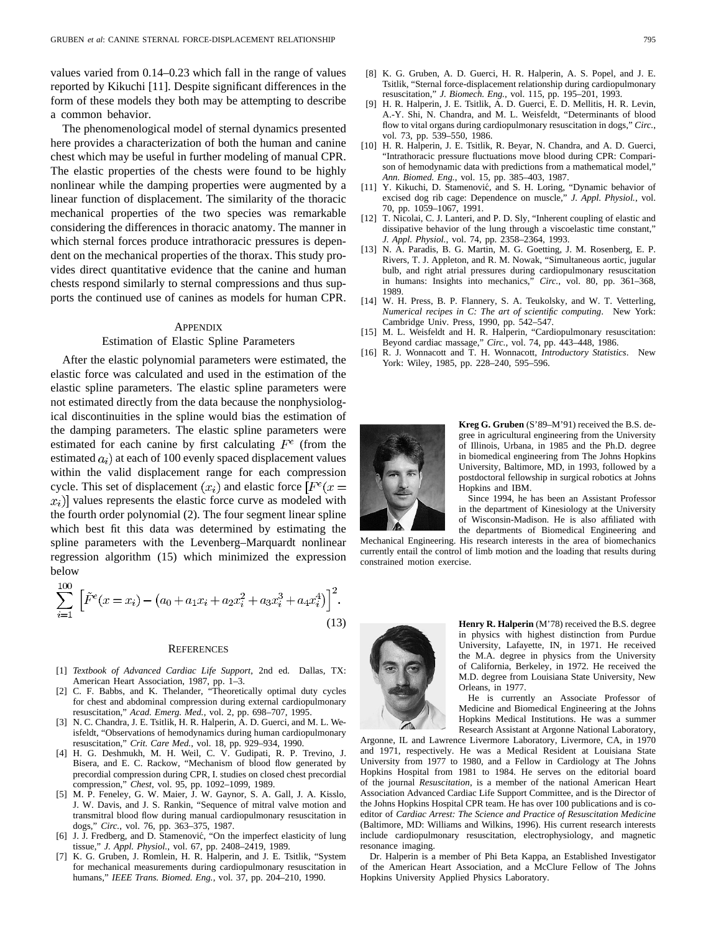values varied from 0.14–0.23 which fall in the range of values reported by Kikuchi [11]. Despite significant differences in the form of these models they both may be attempting to describe a common behavior.

The phenomenological model of sternal dynamics presented here provides a characterization of both the human and canine chest which may be useful in further modeling of manual CPR. The elastic properties of the chests were found to be highly nonlinear while the damping properties were augmented by a linear function of displacement. The similarity of the thoracic mechanical properties of the two species was remarkable considering the differences in thoracic anatomy. The manner in which sternal forces produce intrathoracic pressures is dependent on the mechanical properties of the thorax. This study provides direct quantitative evidence that the canine and human chests respond similarly to sternal compressions and thus supports the continued use of canines as models for human CPR.

#### APPENDIX

## Estimation of Elastic Spline Parameters

After the elastic polynomial parameters were estimated, the elastic force was calculated and used in the estimation of the elastic spline parameters. The elastic spline parameters were not estimated directly from the data because the nonphysiological discontinuities in the spline would bias the estimation of the damping parameters. The elastic spline parameters were estimated for each canine by first calculating  $F^e$  (from the estimated  $a_i$ ) at each of 100 evenly spaced displacement values within the valid displacement range for each compression cycle. This set of displacement  $(x_i)$  and elastic force  $F^e(x)$  $x_i$ ) values represents the elastic force curve as modeled with the fourth order polynomial (2). The four segment linear spline which best fit this data was determined by estimating the spline parameters with the Levenberg–Marquardt nonlinear regression algorithm (15) which minimized the expression below

$$
\sum_{i=1}^{100} \left[ \tilde{F}^e(x = x_i) - \left( a_0 + a_1 x_i + a_2 x_i^2 + a_3 x_i^3 + a_4 x_i^4 \right) \right]^2.
$$
\n(13)

#### **REFERENCES**

- [1] *Textbook of Advanced Cardiac Life Support*, 2nd ed. Dallas, TX: American Heart Association, 1987, pp. 1–3.
- [2] C. F. Babbs, and K. Thelander, "Theoretically optimal duty cycles for chest and abdominal compression during external cardiopulmonary resuscitation," *Acad. Emerg. Med.*, vol. 2, pp. 698–707, 1995.
- [3] N. C. Chandra, J. E. Tsitlik, H. R. Halperin, A. D. Guerci, and M. L. Weisfeldt, "Observations of hemodynamics during human cardiopulmonary resuscitation," *Crit. Care Med.*, vol. 18, pp. 929–934, 1990.
- [4] H. G. Deshmukh, M. H. Weil, C. V. Gudipati, R. P. Trevino, J. Bisera, and E. C. Rackow, "Mechanism of blood flow generated by precordial compression during CPR, I. studies on closed chest precordial compression," *Chest*, vol. 95, pp. 1092–1099, 1989.
- [5] M. P. Feneley, G. W. Maier, J. W. Gaynor, S. A. Gall, J. A. Kisslo, J. W. Davis, and J. S. Rankin, "Sequence of mitral valve motion and transmitral blood flow during manual cardiopulmonary resuscitation in dogs," *Circ.*, vol. 76, pp. 363–375, 1987.
- [6] J. J. Fredberg, and D. Stamenović, "On the imperfect elasticity of lung tissue," *J. Appl. Physiol.*, vol. 67, pp. 2408–2419, 1989.
- K. G. Gruben, J. Romlein, H. R. Halperin, and J. E. Tsitlik, "System for mechanical measurements during cardiopulmonary resuscitation in humans," *IEEE Trans. Biomed. Eng.*, vol. 37, pp. 204–210, 1990.
- [9] H. R. Halperin, J. E. Tsitlik, A. D. Guerci, E. D. Mellitis, H. R. Levin, A.-Y. Shi, N. Chandra, and M. L. Weisfeldt, "Determinants of blood flow to vital organs during cardiopulmonary resuscitation in dogs," *Circ.*, vol. 73, pp. 539–550, 1986.
- [10] H. R. Halperin, J. E. Tsitlik, R. Beyar, N. Chandra, and A. D. Guerci, "Intrathoracic pressure fluctuations move blood during CPR: Comparison of hemodynamic data with predictions from a mathematical model," *Ann. Biomed. Eng.*, vol. 15, pp. 385–403, 1987.
- [11] Y. Kikuchi, D. Stamenović, and S. H. Loring, "Dynamic behavior of excised dog rib cage: Dependence on muscle," *J. Appl. Physiol.*, vol. 70, pp. 1059–1067, 1991.
- [12] T. Nicolai, C. J. Lanteri, and P. D. Sly, "Inherent coupling of elastic and dissipative behavior of the lung through a viscoelastic time constant," *J. Appl. Physiol.*, vol. 74, pp. 2358–2364, 1993.
- [13] N. A. Paradis, B. G. Martin, M. G. Goetting, J. M. Rosenberg, E. P. Rivers, T. J. Appleton, and R. M. Nowak, "Simultaneous aortic, jugular bulb, and right atrial pressures during cardiopulmonary resuscitation in humans: Insights into mechanics," *Circ.*, vol. 80, pp. 361–368, 1989.
- [14] W. H. Press, B. P. Flannery, S. A. Teukolsky, and W. T. Vetterling, *Numerical recipes in C: The art of scientific computing*. New York: Cambridge Univ. Press, 1990, pp. 542–547.
- [15] M. L. Weisfeldt and H. R. Halperin, "Cardiopulmonary resuscitation: Beyond cardiac massage," *Circ.*, vol. 74, pp. 443–448, 1986.
- [16] R. J. Wonnacott and T. H. Wonnacott, *Introductory Statistics*. New York: Wiley, 1985, pp. 228–240, 595–596.



**Kreg G. Gruben** (S'89–M'91) received the B.S. degree in agricultural engineering from the University of Illinois, Urbana, in 1985 and the Ph.D. degree in biomedical engineering from The Johns Hopkins University, Baltimore, MD, in 1993, followed by a postdoctoral fellowship in surgical robotics at Johns Hopkins and IBM.

Since 1994, he has been an Assistant Professor in the department of Kinesiology at the University of Wisconsin-Madison. He is also affiliated with the departments of Biomedical Engineering and

Mechanical Engineering. His research interests in the area of biomechanics currently entail the control of limb motion and the loading that results during constrained motion exercise.



**Henry R. Halperin** (M'78) received the B.S. degree in physics with highest distinction from Purdue University, Lafayette, IN, in 1971. He received the M.A. degree in physics from the University of California, Berkeley, in 1972. He received the M.D. degree from Louisiana State University, New Orleans, in 1977.

He is currently an Associate Professor of Medicine and Biomedical Engineering at the Johns Hopkins Medical Institutions. He was a summer Research Assistant at Argonne National Laboratory,

Argonne, IL and Lawrence Livermore Laboratory, Livermore, CA, in 1970 and 1971, respectively. He was a Medical Resident at Louisiana State University from 1977 to 1980, and a Fellow in Cardiology at The Johns Hopkins Hospital from 1981 to 1984. He serves on the editorial board of the journal *Resuscitation*, is a member of the national American Heart Association Advanced Cardiac Life Support Committee, and is the Director of the Johns Hopkins Hospital CPR team. He has over 100 publications and is coeditor of *Cardiac Arrest: The Science and Practice of Resuscitation Medicine* (Baltimore, MD: Williams and Wilkins, 1996). His current research interests include cardiopulmonary resuscitation, electrophysiology, and magnetic resonance imaging.

Dr. Halperin is a member of Phi Beta Kappa, an Established Investigator of the American Heart Association, and a McClure Fellow of The Johns Hopkins University Applied Physics Laboratory.